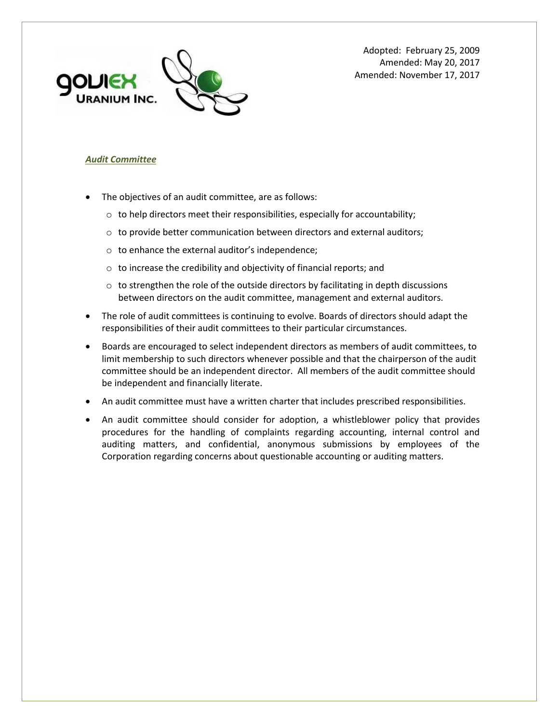

Adopted: February 25, 2009 Amended: May 20, 2017 Amended: November 17, 2017

# *Audit Committee*

- The objectives of an audit committee, are as follows:
	- $\circ$  to help directors meet their responsibilities, especially for accountability;
	- o to provide better communication between directors and external auditors;
	- o to enhance the external auditor's independence;
	- o to increase the credibility and objectivity of financial reports; and
	- $\circ$  to strengthen the role of the outside directors by facilitating in depth discussions between directors on the audit committee, management and external auditors.
- The role of audit committees is continuing to evolve. Boards of directors should adapt the responsibilities of their audit committees to their particular circumstances.
- Boards are encouraged to select independent directors as members of audit committees, to limit membership to such directors whenever possible and that the chairperson of the audit committee should be an independent director. All members of the audit committee should be independent and financially literate.
- An audit committee must have a written charter that includes prescribed responsibilities.
- An audit committee should consider for adoption, a whistleblower policy that provides procedures for the handling of complaints regarding accounting, internal control and auditing matters, and confidential, anonymous submissions by employees of the Corporation regarding concerns about questionable accounting or auditing matters.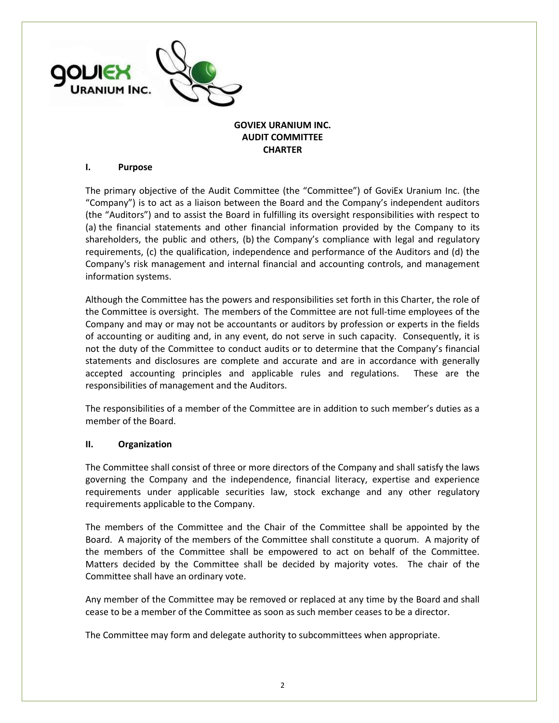

# **GOVIEX URANIUM INC. AUDIT COMMITTEE CHARTER**

### **I. Purpose**

The primary objective of the Audit Committee (the "Committee") of GoviEx Uranium Inc. (the "Company") is to act as a liaison between the Board and the Company's independent auditors (the "Auditors") and to assist the Board in fulfilling its oversight responsibilities with respect to (a) the financial statements and other financial information provided by the Company to its shareholders, the public and others, (b) the Company's compliance with legal and regulatory requirements, (c) the qualification, independence and performance of the Auditors and (d) the Company's risk management and internal financial and accounting controls, and management information systems.

Although the Committee has the powers and responsibilities set forth in this Charter, the role of the Committee is oversight. The members of the Committee are not full-time employees of the Company and may or may not be accountants or auditors by profession or experts in the fields of accounting or auditing and, in any event, do not serve in such capacity. Consequently, it is not the duty of the Committee to conduct audits or to determine that the Company's financial statements and disclosures are complete and accurate and are in accordance with generally accepted accounting principles and applicable rules and regulations. These are the responsibilities of management and the Auditors.

The responsibilities of a member of the Committee are in addition to such member's duties as a member of the Board.

#### **II. Organization**

The Committee shall consist of three or more directors of the Company and shall satisfy the laws governing the Company and the independence, financial literacy, expertise and experience requirements under applicable securities law, stock exchange and any other regulatory requirements applicable to the Company.

The members of the Committee and the Chair of the Committee shall be appointed by the Board. A majority of the members of the Committee shall constitute a quorum. A majority of the members of the Committee shall be empowered to act on behalf of the Committee. Matters decided by the Committee shall be decided by majority votes. The chair of the Committee shall have an ordinary vote.

Any member of the Committee may be removed or replaced at any time by the Board and shall cease to be a member of the Committee as soon as such member ceases to be a director.

The Committee may form and delegate authority to subcommittees when appropriate.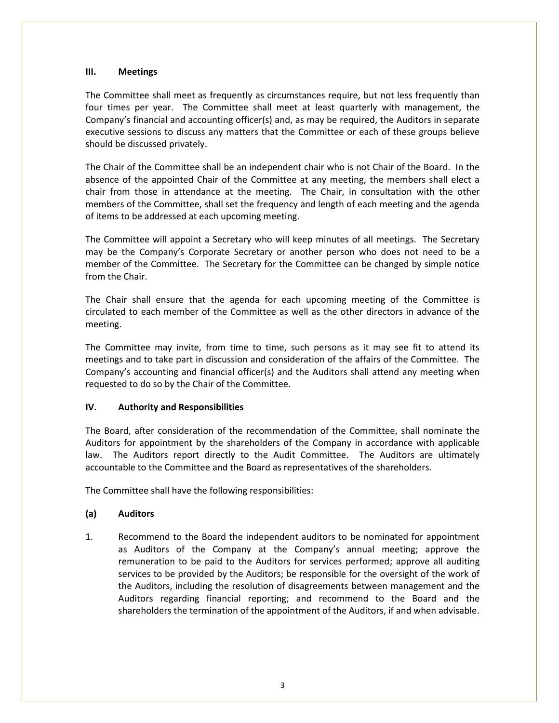## **III. Meetings**

The Committee shall meet as frequently as circumstances require, but not less frequently than four times per year. The Committee shall meet at least quarterly with management, the Company's financial and accounting officer(s) and, as may be required, the Auditors in separate executive sessions to discuss any matters that the Committee or each of these groups believe should be discussed privately.

The Chair of the Committee shall be an independent chair who is not Chair of the Board. In the absence of the appointed Chair of the Committee at any meeting, the members shall elect a chair from those in attendance at the meeting. The Chair, in consultation with the other members of the Committee, shall set the frequency and length of each meeting and the agenda of items to be addressed at each upcoming meeting.

The Committee will appoint a Secretary who will keep minutes of all meetings. The Secretary may be the Company's Corporate Secretary or another person who does not need to be a member of the Committee. The Secretary for the Committee can be changed by simple notice from the Chair.

The Chair shall ensure that the agenda for each upcoming meeting of the Committee is circulated to each member of the Committee as well as the other directors in advance of the meeting.

The Committee may invite, from time to time, such persons as it may see fit to attend its meetings and to take part in discussion and consideration of the affairs of the Committee. The Company's accounting and financial officer(s) and the Auditors shall attend any meeting when requested to do so by the Chair of the Committee.

# **IV. Authority and Responsibilities**

The Board, after consideration of the recommendation of the Committee, shall nominate the Auditors for appointment by the shareholders of the Company in accordance with applicable law. The Auditors report directly to the Audit Committee. The Auditors are ultimately accountable to the Committee and the Board as representatives of the shareholders.

The Committee shall have the following responsibilities:

# **(a) Auditors**

1. Recommend to the Board the independent auditors to be nominated for appointment as Auditors of the Company at the Company's annual meeting; approve the remuneration to be paid to the Auditors for services performed; approve all auditing services to be provided by the Auditors; be responsible for the oversight of the work of the Auditors, including the resolution of disagreements between management and the Auditors regarding financial reporting; and recommend to the Board and the shareholders the termination of the appointment of the Auditors, if and when advisable.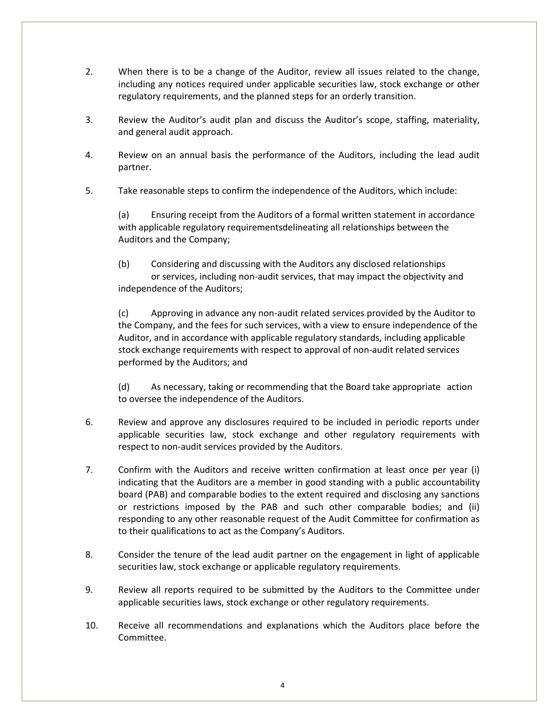- 2. When there is to be a change of the Auditor, review all issues related to the change, including any notices required under applicable securities law, stock exchange or other regulatory requirements, and the planned steps for an orderly transition.
- 3. Review the Auditor's audit plan and discuss the Auditor's scope, staffing, materiality, and general audit approach.
- 4. Review on an annual basis the performance of the Auditors, including the lead audit partner.
- 5. Take reasonable steps to confirm the independence of the Auditors, which include:

(a) Ensuring receipt from the Auditors of a formal written statement in accordance with applicable regulatory requirementsdelineating all relationships between the Auditors and the Company;

(b) Considering and discussing with the Auditors any disclosed relationships or services, including non-audit services, that may impact the objectivity and independence of the Auditors;

(c) Approving in advance any non-audit related services provided by the Auditor to the Company, and the fees for such services, with a view to ensure independence of the Auditor, and in accordance with applicable regulatory standards, including applicable stock exchange requirements with respect to approval of non-audit related services performed by the Auditors; and

(d) As necessary, taking or recommending that the Board take appropriate action to oversee the independence of the Auditors.

- 6. Review and approve any disclosures required to be included in periodic reports under applicable securities law, stock exchange and other regulatory requirements with respect to non-audit services provided by the Auditors.
- 7. Confirm with the Auditors and receive written confirmation at least once per year (i) indicating that the Auditors are a member in good standing with a public accountability board (PAB) and comparable bodies to the extent required and disclosing any sanctions or restrictions imposed by the PAB and such other comparable bodies; and (ii) responding to any other reasonable request of the Audit Committee for confirmation as to their qualifications to act as the Company's Auditors.
- 8. Consider the tenure of the lead audit partner on the engagement in light of applicable securities law, stock exchange or applicable regulatory requirements.
- 9. Review all reports required to be submitted by the Auditors to the Committee under applicable securities laws, stock exchange or other regulatory requirements.
- 10. Receive all recommendations and explanations which the Auditors place before the Committee.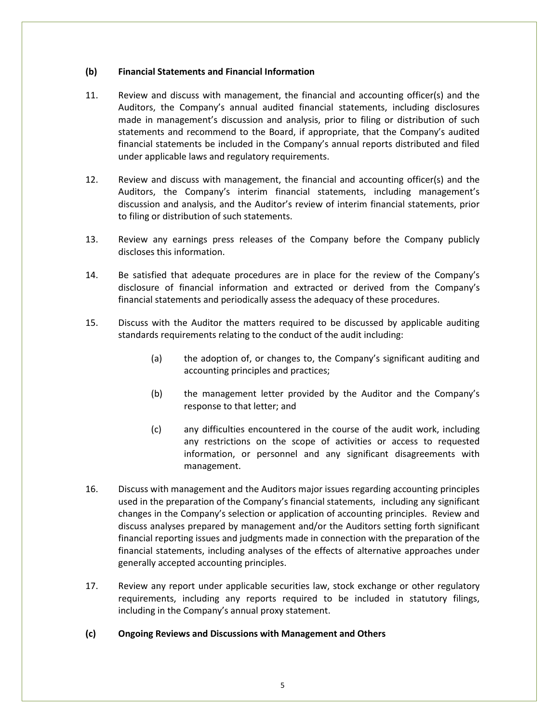## **(b) Financial Statements and Financial Information**

- 11. Review and discuss with management, the financial and accounting officer(s) and the Auditors, the Company's annual audited financial statements, including disclosures made in management's discussion and analysis, prior to filing or distribution of such statements and recommend to the Board, if appropriate, that the Company's audited financial statements be included in the Company's annual reports distributed and filed under applicable laws and regulatory requirements.
- 12. Review and discuss with management, the financial and accounting officer(s) and the Auditors, the Company's interim financial statements, including management's discussion and analysis, and the Auditor's review of interim financial statements, prior to filing or distribution of such statements.
- 13. Review any earnings press releases of the Company before the Company publicly discloses this information.
- 14. Be satisfied that adequate procedures are in place for the review of the Company's disclosure of financial information and extracted or derived from the Company's financial statements and periodically assess the adequacy of these procedures.
- 15. Discuss with the Auditor the matters required to be discussed by applicable auditing standards requirements relating to the conduct of the audit including:
	- (a) the adoption of, or changes to, the Company's significant auditing and accounting principles and practices;
	- (b) the management letter provided by the Auditor and the Company's response to that letter; and
	- (c) any difficulties encountered in the course of the audit work, including any restrictions on the scope of activities or access to requested information, or personnel and any significant disagreements with management.
- 16. Discuss with management and the Auditors major issues regarding accounting principles used in the preparation of the Company's financial statements, including any significant changes in the Company's selection or application of accounting principles. Review and discuss analyses prepared by management and/or the Auditors setting forth significant financial reporting issues and judgments made in connection with the preparation of the financial statements, including analyses of the effects of alternative approaches under generally accepted accounting principles.
- 17. Review any report under applicable securities law, stock exchange or other regulatory requirements, including any reports required to be included in statutory filings, including in the Company's annual proxy statement.

#### **(c) Ongoing Reviews and Discussions with Management and Others**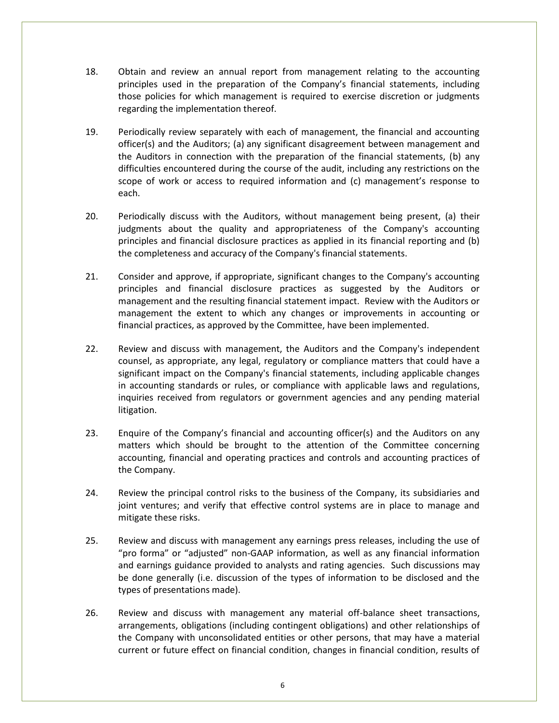- 18. Obtain and review an annual report from management relating to the accounting principles used in the preparation of the Company's financial statements, including those policies for which management is required to exercise discretion or judgments regarding the implementation thereof.
- 19. Periodically review separately with each of management, the financial and accounting officer(s) and the Auditors; (a) any significant disagreement between management and the Auditors in connection with the preparation of the financial statements, (b) any difficulties encountered during the course of the audit, including any restrictions on the scope of work or access to required information and (c) management's response to each.
- 20. Periodically discuss with the Auditors, without management being present, (a) their judgments about the quality and appropriateness of the Company's accounting principles and financial disclosure practices as applied in its financial reporting and (b) the completeness and accuracy of the Company's financial statements.
- 21. Consider and approve, if appropriate, significant changes to the Company's accounting principles and financial disclosure practices as suggested by the Auditors or management and the resulting financial statement impact. Review with the Auditors or management the extent to which any changes or improvements in accounting or financial practices, as approved by the Committee, have been implemented.
- 22. Review and discuss with management, the Auditors and the Company's independent counsel, as appropriate, any legal, regulatory or compliance matters that could have a significant impact on the Company's financial statements, including applicable changes in accounting standards or rules, or compliance with applicable laws and regulations, inquiries received from regulators or government agencies and any pending material litigation.
- 23. Enquire of the Company's financial and accounting officer(s) and the Auditors on any matters which should be brought to the attention of the Committee concerning accounting, financial and operating practices and controls and accounting practices of the Company.
- 24. Review the principal control risks to the business of the Company, its subsidiaries and joint ventures; and verify that effective control systems are in place to manage and mitigate these risks.
- 25. Review and discuss with management any earnings press releases, including the use of "pro forma" or "adjusted" non-GAAP information, as well as any financial information and earnings guidance provided to analysts and rating agencies. Such discussions may be done generally (i.e. discussion of the types of information to be disclosed and the types of presentations made).
- 26. Review and discuss with management any material off-balance sheet transactions, arrangements, obligations (including contingent obligations) and other relationships of the Company with unconsolidated entities or other persons, that may have a material current or future effect on financial condition, changes in financial condition, results of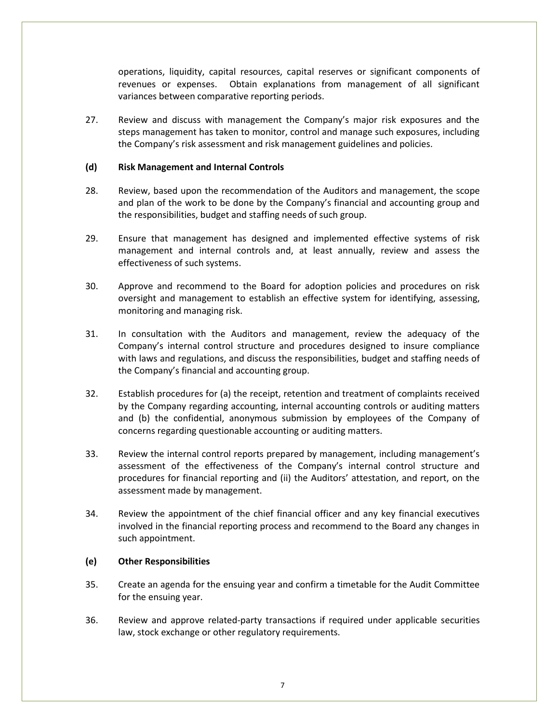operations, liquidity, capital resources, capital reserves or significant components of revenues or expenses. Obtain explanations from management of all significant variances between comparative reporting periods.

27. Review and discuss with management the Company's major risk exposures and the steps management has taken to monitor, control and manage such exposures, including the Company's risk assessment and risk management guidelines and policies.

### **(d) Risk Management and Internal Controls**

- 28. Review, based upon the recommendation of the Auditors and management, the scope and plan of the work to be done by the Company's financial and accounting group and the responsibilities, budget and staffing needs of such group.
- 29. Ensure that management has designed and implemented effective systems of risk management and internal controls and, at least annually, review and assess the effectiveness of such systems.
- 30. Approve and recommend to the Board for adoption policies and procedures on risk oversight and management to establish an effective system for identifying, assessing, monitoring and managing risk.
- 31. In consultation with the Auditors and management, review the adequacy of the Company's internal control structure and procedures designed to insure compliance with laws and regulations, and discuss the responsibilities, budget and staffing needs of the Company's financial and accounting group.
- 32. Establish procedures for (a) the receipt, retention and treatment of complaints received by the Company regarding accounting, internal accounting controls or auditing matters and (b) the confidential, anonymous submission by employees of the Company of concerns regarding questionable accounting or auditing matters.
- 33. Review the internal control reports prepared by management, including management's assessment of the effectiveness of the Company's internal control structure and procedures for financial reporting and (ii) the Auditors' attestation, and report, on the assessment made by management.
- 34. Review the appointment of the chief financial officer and any key financial executives involved in the financial reporting process and recommend to the Board any changes in such appointment.

#### **(e) Other Responsibilities**

- 35. Create an agenda for the ensuing year and confirm a timetable for the Audit Committee for the ensuing year.
- 36. Review and approve related-party transactions if required under applicable securities law, stock exchange or other regulatory requirements.